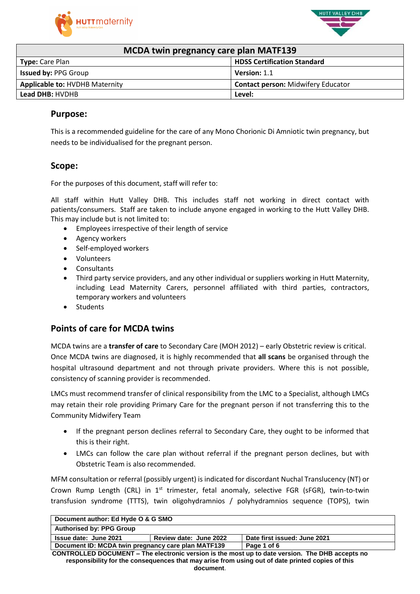



|  |  | <b>MCDA twin pregnancy care plan MATF139</b> |
|--|--|----------------------------------------------|
|--|--|----------------------------------------------|

| $1112211$ then programs tore pion in $11122$ |                                           |  |
|----------------------------------------------|-------------------------------------------|--|
| <b>Type: Care Plan</b>                       | <b>HDSS Certification Standard</b>        |  |
| <b>Issued by: PPG Group</b>                  | Version: 1.1                              |  |
| <b>Applicable to: HVDHB Maternity</b>        | <b>Contact person: Midwifery Educator</b> |  |
| <b>Lead DHB: HVDHB</b>                       | Level:                                    |  |

### **Purpose:**

This is a recommended guideline for the care of any Mono Chorionic Di Amniotic twin pregnancy, but needs to be individualised for the pregnant person.

### **Scope:**

For the purposes of this document, staff will refer to:

All staff within Hutt Valley DHB. This includes staff not working in direct contact with patients/consumers. Staff are taken to include anyone engaged in working to the Hutt Valley DHB. This may include but is not limited to:

- Employees irrespective of their length of service
- Agency workers
- Self-employed workers
- Volunteers
- Consultants
- Third party service providers, and any other individual or suppliers working in Hutt Maternity, including Lead Maternity Carers, personnel affiliated with third parties, contractors, temporary workers and volunteers
- **Students**

## **Points of care for MCDA twins**

MCDA twins are a **transfer of care** to Secondary Care (MOH 2012) – early Obstetric review is critical. Once MCDA twins are diagnosed, it is highly recommended that **all scans** be organised through the hospital ultrasound department and not through private providers. Where this is not possible, consistency of scanning provider is recommended.

LMCs must recommend transfer of clinical responsibility from the LMC to a Specialist, although LMCs may retain their role providing Primary Care for the pregnant person if not transferring this to the Community Midwifery Team

- If the pregnant person declines referral to Secondary Care, they ought to be informed that this is their right.
- LMCs can follow the care plan without referral if the pregnant person declines, but with Obstetric Team is also recommended.

MFM consultation or referral (possibly urgent) is indicated for discordant Nuchal Translucency (NT) or Crown Rump Length (CRL) in 1<sup>st</sup> trimester, fetal anomaly, selective FGR (sFGR), twin-to-twin transfusion syndrome (TTTS), twin oligohydramnios / polyhydramnios sequence (TOPS), twin

| Document author: Ed Hyde O & G SMO                                                               |                                                        |  |  |
|--------------------------------------------------------------------------------------------------|--------------------------------------------------------|--|--|
| <b>Authorised by: PPG Group</b>                                                                  |                                                        |  |  |
| <b>Issue date: June 2021</b>                                                                     | Date first issued: June 2021<br>Review date: June 2022 |  |  |
| Document ID: MCDA twin pregnancy care plan MATF139<br>Page 1 of 6                                |                                                        |  |  |
| CONTROLLED DOCUMENT - The electronic version is the most up to date version. The DHB accepts no  |                                                        |  |  |
| responsibility for the consequences that may arise from using out of date printed copies of this |                                                        |  |  |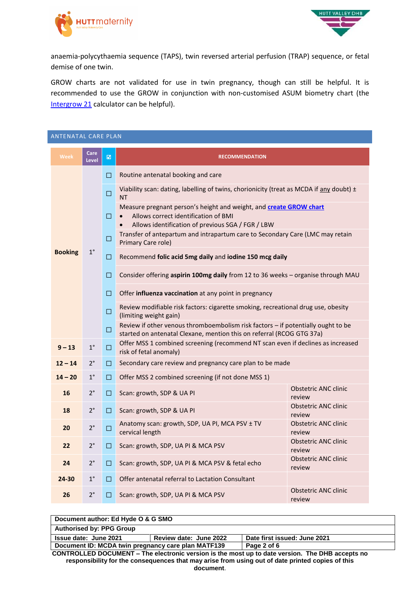



anaemia-polycythaemia sequence (TAPS), twin reversed arterial perfusion (TRAP) sequence, or fetal demise of one twin.

GROW charts are not validated for use in twin pregnancy, though can still be helpful. It is recommended to use the GROW in conjunction with non-customised ASUM biometry chart (the [Intergrow](https://srhr.org/fetalgrowthcalculator/) 21 calculator can be helpful).

| ANTENATAL CARE PLAN |                      |        |                                                                                                                                                                              |                                       |
|---------------------|----------------------|--------|------------------------------------------------------------------------------------------------------------------------------------------------------------------------------|---------------------------------------|
| <b>Week</b>         | Care<br><b>Level</b> | 図      | <b>RECOMMENDATION</b>                                                                                                                                                        |                                       |
|                     |                      | $\Box$ | Routine antenatal booking and care                                                                                                                                           |                                       |
|                     |                      | $\Box$ | Viability scan: dating, labelling of twins, chorionicity (treat as MCDA if $\frac{\text{any}}{\text{d}t}$ doubt) $\pm$<br><b>NT</b>                                          |                                       |
|                     |                      | $\Box$ | Measure pregnant person's height and weight, and create GROW chart<br>Allows correct identification of BMI<br>Allows identification of previous SGA / FGR / LBW<br>$\bullet$ |                                       |
|                     |                      | $\Box$ | Transfer of antepartum and intrapartum care to Secondary Care (LMC may retain<br>Primary Care role)                                                                          |                                       |
| <b>Booking</b>      | $1^{\circ}$          | О      | Recommend folic acid 5mg daily and iodine 150 mcg daily                                                                                                                      |                                       |
|                     |                      | $\Box$ | Consider offering aspirin 100mg daily from 12 to 36 weeks - organise through MAU                                                                                             |                                       |
|                     |                      | $\Box$ | Offer influenza vaccination at any point in pregnancy                                                                                                                        |                                       |
|                     |                      | $\Box$ | Review modifiable risk factors: cigarette smoking, recreational drug use, obesity<br>(limiting weight gain)                                                                  |                                       |
|                     |                      | $\Box$ | Review if other venous thromboembolism risk factors - if potentially ought to be<br>started on antenatal Clexane, mention this on referral (RCOG GTG 37a)                    |                                       |
| $9 - 13$            | $1^{\circ}$          | $\Box$ | Offer MSS 1 combined screening (recommend NT scan even if declines as increased<br>risk of fetal anomaly)                                                                    |                                       |
| $12 - 14$           | $2^{\circ}$          | □      | Secondary care review and pregnancy care plan to be made                                                                                                                     |                                       |
| $14 - 20$           | $1^{\circ}$          | $\Box$ | Offer MSS 2 combined screening (if not done MSS 1)                                                                                                                           |                                       |
| 16                  | $2^{\circ}$          | $\Box$ | Scan: growth, SDP & UA PI                                                                                                                                                    | <b>Obstetric ANC clinic</b><br>review |
| 18                  | $2^{\circ}$          | $\Box$ | Scan: growth, SDP & UA PI                                                                                                                                                    | <b>Obstetric ANC clinic</b><br>review |
| 20                  | $2^{\circ}$          | $\Box$ | Anatomy scan: growth, SDP, UA PI, MCA PSV ± TV<br>cervical length                                                                                                            | <b>Obstetric ANC clinic</b><br>review |
| 22                  | $2^{\circ}$          | $\Box$ | Scan: growth, SDP, UA PI & MCA PSV                                                                                                                                           | <b>Obstetric ANC clinic</b><br>review |
| 24                  | $2^{\circ}$          | $\Box$ | Scan: growth, SDP, UA PI & MCA PSV & fetal echo                                                                                                                              | <b>Obstetric ANC clinic</b><br>review |
| 24-30               | $1^{\circ}$          | $\Box$ | Offer antenatal referral to Lactation Consultant                                                                                                                             |                                       |
| 26                  | $2^{\circ}$          | □      | Scan: growth, SDP, UA PI & MCA PSV                                                                                                                                           | <b>Obstetric ANC clinic</b><br>review |

| Document author: Ed Hyde O & G SMO                                |                        |                              |
|-------------------------------------------------------------------|------------------------|------------------------------|
| <b>Authorised by: PPG Group</b>                                   |                        |                              |
| <b>Issue date: June 2021</b>                                      | Review date: June 2022 | Date first issued: June 2021 |
| Document ID: MCDA twin pregnancy care plan MATF139<br>Page 2 of 6 |                        |                              |

**CONTROLLED DOCUMENT – The electronic version is the most up to date version. The DHB accepts no responsibility for the consequences that may arise from using out of date printed copies of this document**.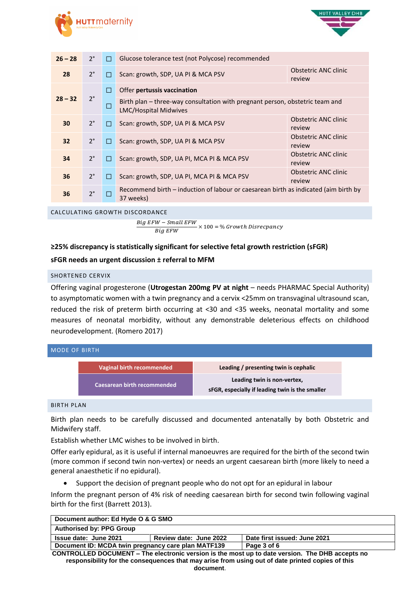



| $26 - 28$ | $2^{\circ}$ | П      | Glucose tolerance test (not Polycose) recommended                                                            |                                |
|-----------|-------------|--------|--------------------------------------------------------------------------------------------------------------|--------------------------------|
| 28        | $2^{\circ}$ | П      | Scan: growth, SDP, UA PI & MCA PSV                                                                           | Obstetric ANC clinic<br>review |
|           |             | $\Box$ | Offer pertussis vaccination                                                                                  |                                |
| $28 - 32$ | $2^{\circ}$ | □      | Birth plan – three-way consultation with pregnant person, obstetric team and<br><b>LMC/Hospital Midwives</b> |                                |
| 30        | $2^{\circ}$ | $\Box$ | Scan: growth, SDP, UA PI & MCA PSV                                                                           | Obstetric ANC clinic<br>review |
| 32        | $2^{\circ}$ | $\Box$ | Scan: growth, SDP, UA PI & MCA PSV                                                                           | Obstetric ANC clinic<br>review |
| 34        | $2^{\circ}$ | П      | Scan: growth, SDP, UA PI, MCA PI & MCA PSV                                                                   | Obstetric ANC clinic<br>review |
| 36        | $2^{\circ}$ | □      | Scan: growth, SDP, UA PI, MCA PI & MCA PSV                                                                   | Obstetric ANC clinic<br>review |
| 36        | $2^{\circ}$ | □      | Recommend birth - induction of labour or caesarean birth as indicated (aim birth by<br>37 weeks)             |                                |

#### CALCULATING GROWTH DISCORDANCE

Big EFW − Small EFW  $\overline{Big~EFW}$   $\times$  100 = % Growth Disrecpancy

### **≥25% discrepancy is statistically significant for selective fetal growth restriction (sFGR)**

### **sFGR needs an urgent discussion ± referral to MFM**

#### SHORTENED CERVIX

Offering vaginal progesterone (**Utrogestan 200mg PV at night** – needs PHARMAC Special Authority) to asymptomatic women with a twin pregnancy and a cervix <25mm on transvaginal ultrasound scan, reduced the risk of preterm birth occurring at <30 and <35 weeks, neonatal mortality and some measures of neonatal morbidity, without any demonstrable deleterious effects on childhood neurodevelopment. (Romero 2017)

| <b>MODE OF BIRTH</b> |                                    |                                                                                |
|----------------------|------------------------------------|--------------------------------------------------------------------------------|
|                      | <b>Vaginal birth recommended</b>   | Leading / presenting twin is cephalic                                          |
|                      | <b>Caesarean birth recommended</b> | Leading twin is non-vertex,<br>sFGR, especially if leading twin is the smaller |

### BIRTH PLAN

Birth plan needs to be carefully discussed and documented antenatally by both Obstetric and Midwifery staff.

Establish whether LMC wishes to be involved in birth.

Offer early epidural, as it is useful if internal manoeuvres are required for the birth of the second twin (more common if second twin non-vertex) or needs an urgent caesarean birth (more likely to need a general anaesthetic if no epidural).

Support the decision of pregnant people who do not opt for an epidural in labour

Inform the pregnant person of 4% risk of needing caesarean birth for second twin following vaginal birth for the first (Barrett 2013).

| Document author: Ed Hyde O & G SMO                                                                     |                        |                              |
|--------------------------------------------------------------------------------------------------------|------------------------|------------------------------|
| <b>Authorised by: PPG Group</b>                                                                        |                        |                              |
| Issue date: June 2021                                                                                  | Review date: June 2022 | Date first issued: June 2021 |
| Document ID: MCDA twin pregnancy care plan MATF139<br>Page 3 of 6                                      |                        |                              |
| <b>CONTROLLED DOCUMENT – The electronic version is the most up to date version. The DHB accepts no</b> |                        |                              |

**CONTROLLED DOCUMENT – The electronic version is the most up to date version. The DHB accepts no responsibility for the consequences that may arise from using out of date printed copies of this document**.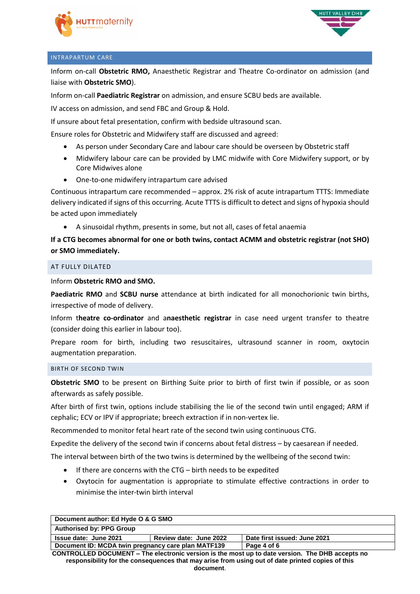



### INTRAPARTUM CARE

Inform on-call **Obstetric RMO,** Anaesthetic Registrar and Theatre Co-ordinator on admission (and liaise with **Obstetric SMO**).

Inform on-call **Paediatric Registrar** on admission, and ensure SCBU beds are available.

IV access on admission, and send FBC and Group & Hold.

If unsure about fetal presentation, confirm with bedside ultrasound scan.

Ensure roles for Obstetric and Midwifery staff are discussed and agreed:

- As person under Secondary Care and labour care should be overseen by Obstetric staff
- Midwifery labour care can be provided by LMC midwife with Core Midwifery support, or by Core Midwives alone
- One-to-one midwifery intrapartum care advised

Continuous intrapartum care recommended – approx. 2% risk of acute intrapartum TTTS: Immediate delivery indicated if signs of this occurring. Acute TTTS is difficult to detect and signs of hypoxia should be acted upon immediately

A sinusoidal rhythm, presents in some, but not all, cases of fetal anaemia

### **If a CTG becomes abnormal for one or both twins, contact ACMM and obstetric registrar (not SHO) or SMO immediately.**

### AT FULLY DILATED

Inform **Obstetric RMO and SMO.**

**Paediatric RMO** and **SCBU nurse** attendance at birth indicated for all monochorionic twin births, irrespective of mode of delivery.

Inform t**heatre co-ordinator** and a**naesthetic registrar** in case need urgent transfer to theatre (consider doing this earlier in labour too).

Prepare room for birth, including two resuscitaires, ultrasound scanner in room, oxytocin augmentation preparation.

#### BIRTH OF SECOND TWIN

**Obstetric SMO** to be present on Birthing Suite prior to birth of first twin if possible, or as soon afterwards as safely possible.

After birth of first twin, options include stabilising the lie of the second twin until engaged; ARM if cephalic; ECV or IPV if appropriate; breech extraction if in non-vertex lie.

Recommended to monitor fetal heart rate of the second twin using continuous CTG.

Expedite the delivery of the second twin if concerns about fetal distress – by caesarean if needed.

The interval between birth of the two twins is determined by the wellbeing of the second twin:

- If there are concerns with the CTG birth needs to be expedited
- Oxytocin for augmentation is appropriate to stimulate effective contractions in order to minimise the inter-twin birth interval

| Document author: Ed Hyde O & G SMO                                                              |                        |                              |
|-------------------------------------------------------------------------------------------------|------------------------|------------------------------|
| <b>Authorised by: PPG Group</b>                                                                 |                        |                              |
| <b>Issue date: June 2021</b>                                                                    | Review date: June 2022 | Date first issued: June 2021 |
| Document ID: MCDA twin pregnancy care plan MATF139                                              |                        | Page 4 of 6                  |
| CONTROLLER BOCUMENT. The electronic version is the meet up to date version. The BUR accounts no |                        |                              |

**CONTROLLED DOCUMENT – The electronic version is the most up to date version. The DHB accepts no responsibility for the consequences that may arise from using out of date printed copies of this document**.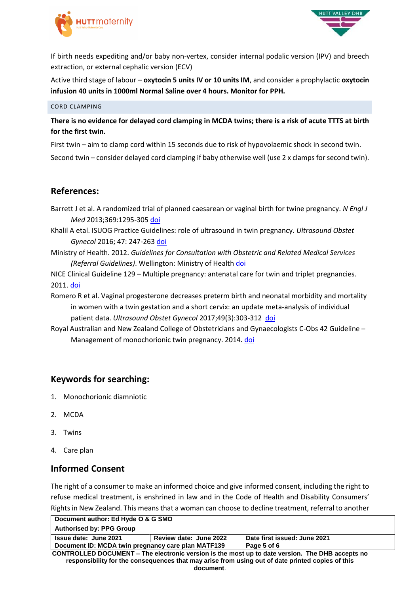



If birth needs expediting and/or baby non-vertex, consider internal podalic version (IPV) and breech extraction, or external cephalic version (ECV)

Active third stage of labour – **oxytocin 5 units IV or 10 units IM**, and consider a prophylactic **oxytocin infusion 40 units in 1000ml Normal Saline over 4 hours. Monitor for PPH.**

### CORD CLAMPING

**There is no evidence for delayed cord clamping in MCDA twins; there is a risk of acute TTTS at birth for the first twin.**

First twin – aim to clamp cord within 15 seconds due to risk of hypovolaemic shock in second twin.

Second twin – consider delayed cord clamping if baby otherwise well (use 2 x clamps for second twin).

## **References:**

Barrett J et al. A randomized trial of planned caesarean or vaginal birth for twine pregnancy. *N Engl J Med* 2013;369:1295-305 [doi](https://www.nejm.org/doi/pdf/10.1056/NEJMoa1214939)

- Khalil A etal. ISUOG Practice Guidelines: role of ultrasound in twin pregnancy. *Ultrasound Obstet Gynecol* 2016; 47: 247-263 [doi](https://www.google.com/url?sa=t&rct=j&q=&esrc=s&source=web&cd=1&cad=rja&uact=8&ved=2ahUKEwjNpL2Jv4_iAhVPU30KHSDVCXQQFjAAegQIAhAC&url=https%3A%2F%2Fwww.isuog.org%2Fuploads%2Fassets%2Fuploaded%2Fb4ce0129-a7e8-40a9-8543c4243fb7638f.pdf&usg=AOvVaw294oJk1iLKi9F_UQJni6xR)
- Ministry of Health. 2012. *Guidelines for Consultation with Obstetric and Related Medical Services (Referral Guidelines)*. Wellington: Ministry of Health [doi](https://www.health.govt.nz/system/files/documents/publications/referral-glines-jan12.pdf)

NICE Clinical Guideline 129 – Multiple pregnancy: antenatal care for twin and triplet pregnancies. 2011[. doi](https://www.nice.org.uk/guidance/cg129/resources/multiple-pregnancy-antenatal-care-for-twin-and-triplet-pregnancies-pdf-35109458300869)

Romero R et al. Vaginal progesterone decreases preterm birth and neonatal morbidity and mortality in women with a twin gestation and a short cervix: an update meta-analysis of individual patient data. *Ultrasound Obstet Gynecol* 2017;49(3):303-312 [doi](https://www.ncbi.nlm.nih.gov/pmc/articles/PMC5396280/)

Royal Australian and New Zealand College of Obstetricians and Gynaecologists C-Obs 42 Guideline – Management of monochorionic twin pregnancy. 2014. [doi](https://www.ranzcog.edu.au/RANZCOG_SITE/media/RANZCOG-MEDIA/Women%27s%20Health/Statement%20and%20guidelines/Clinical-Obstetrics/Management-of-Monochorionic-Twins-(C-Obs-42)-review-July-2017.pdf?ext=.pdf)

## **Keywords for searching:**

- 1. Monochorionic diamniotic
- 2. MCDA
- 3. Twins
- 4. Care plan

## **Informed Consent**

The right of a consumer to make an informed choice and give informed consent, including the right to refuse medical treatment, is enshrined in law and in the Code of Health and Disability Consumers' Rights in New Zealand. This means that a woman can choose to decline treatment, referral to another

**document**.

| Document author: Ed Hyde O & G SMO                                                               |                                                        |  |  |
|--------------------------------------------------------------------------------------------------|--------------------------------------------------------|--|--|
| <b>Authorised by: PPG Group</b>                                                                  |                                                        |  |  |
| Issue date: June 2021                                                                            | Date first issued: June 2021<br>Review date: June 2022 |  |  |
| Document ID: MCDA twin pregnancy care plan MATF139<br>Page 5 of 6                                |                                                        |  |  |
| CONTROLLED DOCUMENT – The electronic version is the most up to date version. The DHB accepts no  |                                                        |  |  |
| responsibility for the consequences that may arise from using out of date printed copies of this |                                                        |  |  |